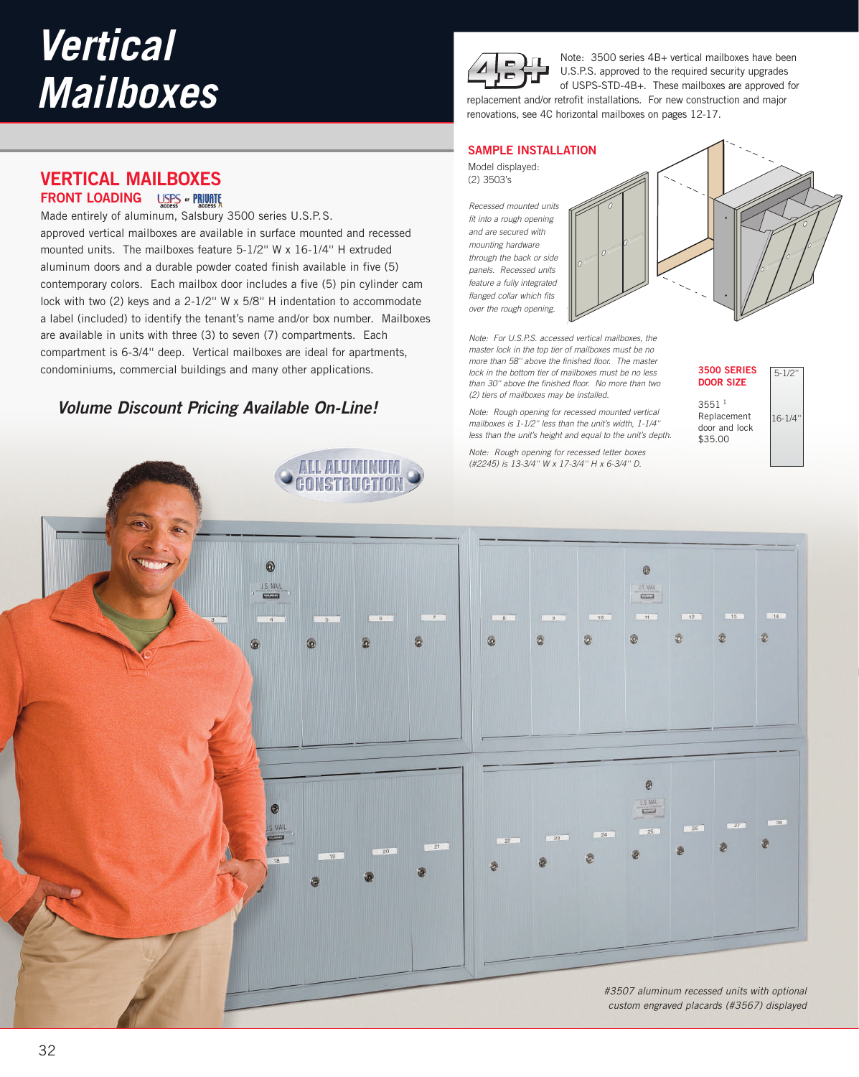**VERTICAL MAILBOXES FRONT LOADING** USPS **\* PRIVATE** 

Made entirely of aluminum, Salsbury 3500 series U.S.P.S.

approved vertical mailboxes are available in surface mounted and recessed mounted units. The mailboxes feature 5-1/2'' W x 16-1/4'' H extruded aluminum doors and a durable powder coated finish available in five (5) contemporary colors. Each mailbox door includes a five (5) pin cylinder cam lock with two (2) keys and a 2-1/2'' W x 5/8'' H indentation to accommodate a label (included) to identify the tenant's name and/or box number. Mailboxes are available in units with three (3) to seven (7) compartments. Each compartment is 6-3/4'' deep. Vertical mailboxes are ideal for apartments, condominiums, commercial buildings and many other applications.

**Volume Discount Pricing Available On-Line!**



Note: 3500 series 4B+ vertical mailboxes have been U.S.P.S. approved to the required security upgrades of USPS-STD-4B+. These mailboxes are approved for replacement and/or retrofit installations. For new construction and major renovations, see 4C horizontal mailboxes on pages 12-17.

# **SAMPLE INSTALLATION**

Model displayed: (2) 3503's

*Recessed mounted units fit into a rough opening and are secured with mounting hardware through the back or side panels. Recessed units feature a fully integrated flanged collar which fits over the rough opening.*



*Note: For U.S.P.S. accessed vertical mailboxes, the master lock in the top tier of mailboxes must be no more than 58'' above the finished floor. The master lock in the bottom tier of mailboxes must be no less than 30'' above the finished floor. No more than two (2) tiers of mailboxes may be installed.*

*Note: Rough opening for recessed mounted vertical mailboxes is 1-1/2'' less than the unit's width, 1-1/4'' less than the unit's height and equal to the unit's depth.*

*Note: Rough opening for recessed letter boxes (#2245) is 13-3/4'' W x 17-3/4'' H x 6-3/4'' D.*



16-1/4'' 3551 <sup>1</sup> Replacement door and lock \$35.00